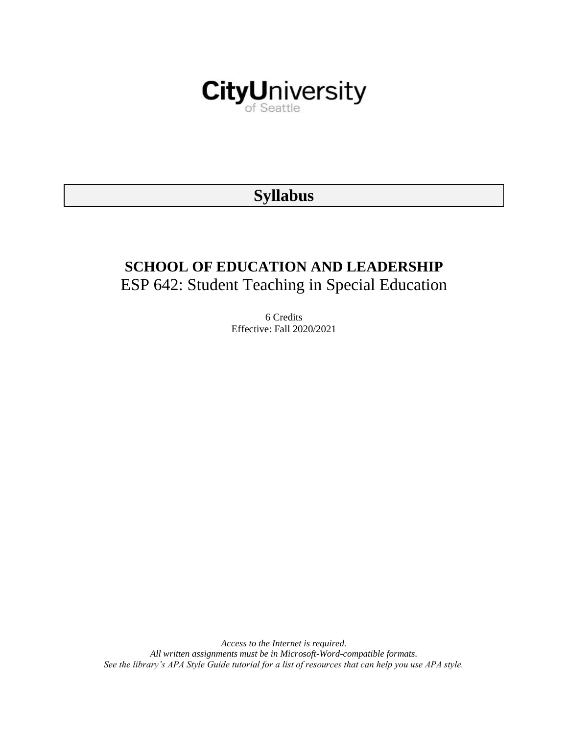

# **Syllabus**

# **SCHOOL OF EDUCATION AND LEADERSHIP** ESP 642: Student Teaching in Special Education

6 Credits Effective: Fall 2020/2021

*Access to the Internet is required. All written assignments must be in Microsoft-Word-compatible formats. See the library's APA Style Guide tutorial for a list of resources that can help you use APA style.*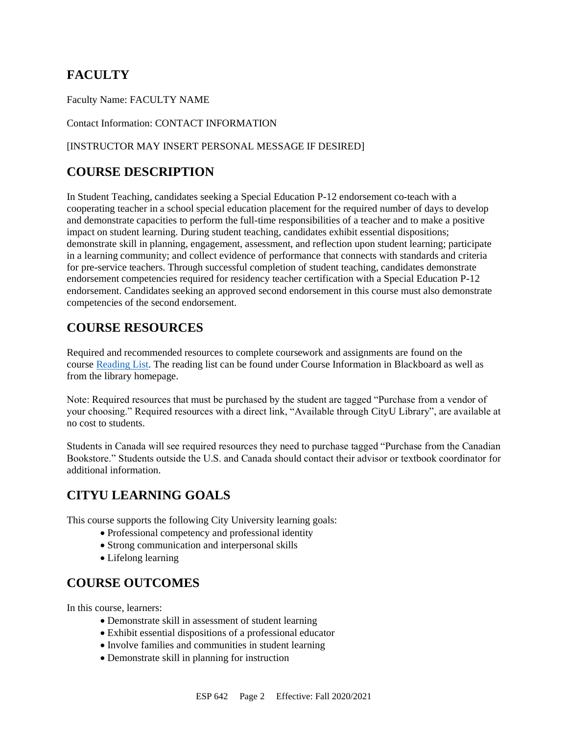# **FACULTY**

Faculty Name: FACULTY NAME

Contact Information: CONTACT INFORMATION

#### [INSTRUCTOR MAY INSERT PERSONAL MESSAGE IF DESIRED]

# **COURSE DESCRIPTION**

In Student Teaching, candidates seeking a Special Education P-12 endorsement co-teach with a cooperating teacher in a school special education placement for the required number of days to develop and demonstrate capacities to perform the full-time responsibilities of a teacher and to make a positive impact on student learning. During student teaching, candidates exhibit essential dispositions; demonstrate skill in planning, engagement, assessment, and reflection upon student learning; participate in a learning community; and collect evidence of performance that connects with standards and criteria for pre-service teachers. Through successful completion of student teaching, candidates demonstrate endorsement competencies required for residency teacher certification with a Special Education P-12 endorsement. Candidates seeking an approved second endorsement in this course must also demonstrate competencies of the second endorsement.

# **COURSE RESOURCES**

Required and recommended resources to complete coursework and assignments are found on the course [Reading List.](https://nam03.safelinks.protection.outlook.com/?url=https%3A%2F%2Fcityu.alma.exlibrisgroup.com%2Fleganto%2Flogin%3Fauth%3DSAML&data=04%7C01%7CMMara%40cityu.edu%7C70673ce0fe0144040eda08d87472e204%7Cb3fa96d9f5154662add763d854e39e63%7C1%7C0%7C637387384066198115%7CUnknown%7CTWFpbGZsb3d8eyJWIjoiMC4wLjAwMDAiLCJQIjoiV2luMzIiLCJBTiI6Ik1haWwiLCJXVCI6Mn0%3D%7C1000&sdata=JbwP%2Fm5Q%2BMgIUWa%2FXceos%2BoiLv0DX%2B%2FL%2BNGNMbX9P8E%3D&reserved=0) The reading list can be found under Course Information in Blackboard as well as from the library homepage.

Note: Required resources that must be purchased by the student are tagged "Purchase from a vendor of your choosing." Required resources with a direct link, "Available through CityU Library", are available at no cost to students.

Students in Canada will see required resources they need to purchase tagged "Purchase from the Canadian Bookstore." Students outside the U.S. and Canada should contact their advisor or textbook coordinator for additional information.

# **CITYU LEARNING GOALS**

This course supports the following City University learning goals:

- Professional competency and professional identity
- Strong communication and interpersonal skills
- Lifelong learning

# **COURSE OUTCOMES**

In this course, learners:

- Demonstrate skill in assessment of student learning
- Exhibit essential dispositions of a professional educator
- Involve families and communities in student learning
- Demonstrate skill in planning for instruction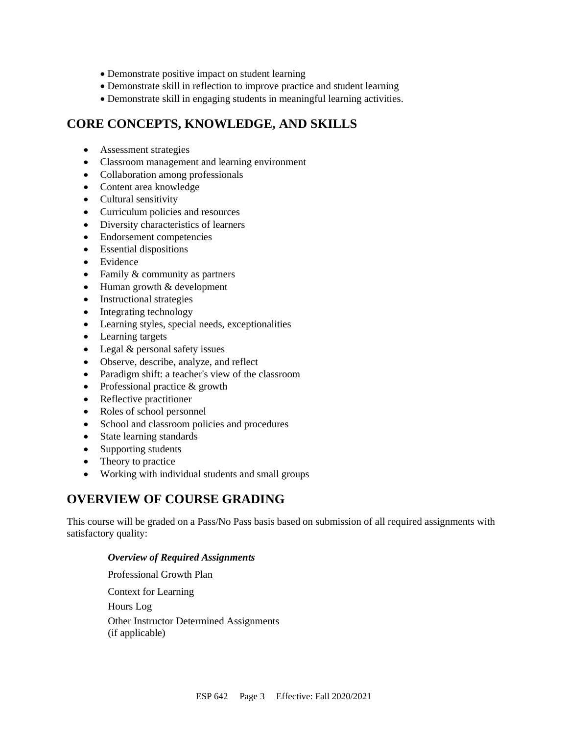- Demonstrate positive impact on student learning
- Demonstrate skill in reflection to improve practice and student learning
- Demonstrate skill in engaging students in meaningful learning activities.

# **CORE CONCEPTS, KNOWLEDGE, AND SKILLS**

- Assessment strategies
- Classroom management and learning environment
- Collaboration among professionals
- Content area knowledge
- Cultural sensitivity
- Curriculum policies and resources
- Diversity characteristics of learners
- Endorsement competencies
- Essential dispositions
- Evidence
- Family & community as partners
- Human growth & development
- Instructional strategies
- Integrating technology
- Learning styles, special needs, exceptionalities
- Learning targets
- Legal & personal safety issues
- Observe, describe, analyze, and reflect
- Paradigm shift: a teacher's view of the classroom
- Professional practice & growth
- Reflective practitioner
- Roles of school personnel
- School and classroom policies and procedures
- State learning standards
- Supporting students
- Theory to practice
- Working with individual students and small groups

### **OVERVIEW OF COURSE GRADING**

This course will be graded on a Pass/No Pass basis based on submission of all required assignments with satisfactory quality:

#### *Overview of Required Assignments*

Professional Growth Plan Context for Learning Hours Log Other Instructor Determined Assignments (if applicable)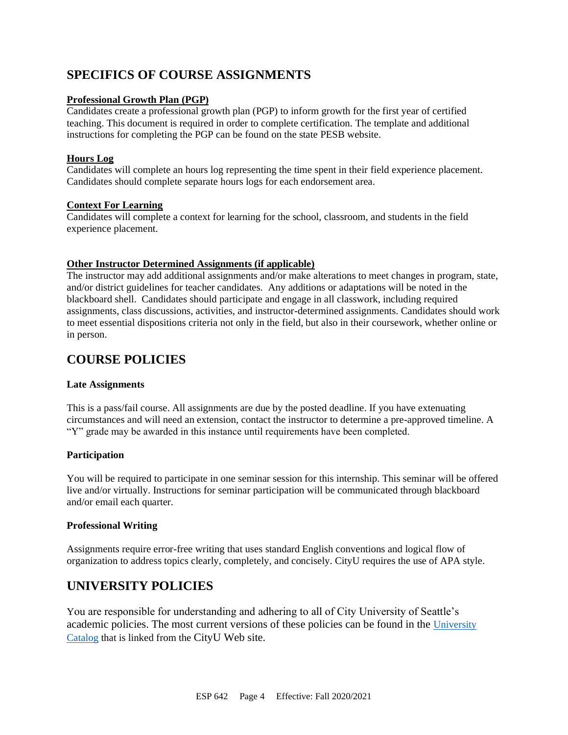# **SPECIFICS OF COURSE ASSIGNMENTS**

#### **Professional Growth Plan (PGP)**

Candidates create a professional growth plan (PGP) to inform growth for the first year of certified teaching. This document is required in order to complete certification. The template and additional instructions for completing the PGP can be found on the state PESB website.

#### **Hours Log**

Candidates will complete an hours log representing the time spent in their field experience placement. Candidates should complete separate hours logs for each endorsement area.

#### **Context For Learning**

Candidates will complete a context for learning for the school, classroom, and students in the field experience placement.

#### **Other Instructor Determined Assignments (if applicable)**

The instructor may add additional assignments and/or make alterations to meet changes in program, state, and/or district guidelines for teacher candidates. Any additions or adaptations will be noted in the blackboard shell. Candidates should participate and engage in all classwork, including required assignments, class discussions, activities, and instructor-determined assignments. Candidates should work to meet essential dispositions criteria not only in the field, but also in their coursework, whether online or in person.

## **COURSE POLICIES**

#### **Late Assignments**

This is a pass/fail course. All assignments are due by the posted deadline. If you have extenuating circumstances and will need an extension, contact the instructor to determine a pre-approved timeline. A "Y" grade may be awarded in this instance until requirements have been completed.

#### **Participation**

You will be required to participate in one seminar session for this internship. This seminar will be offered live and/or virtually. Instructions for seminar participation will be communicated through blackboard and/or email each quarter.

#### **Professional Writing**

Assignments require error-free writing that uses standard English conventions and logical flow of organization to address topics clearly, completely, and concisely. CityU requires the use of APA style.

# **UNIVERSITY POLICIES**

You are responsible for understanding and adhering to all of City University of Seattle's academic policies. The most current versions of these policies can be found in the [University](https://www.cityu.edu/catalog/)  [Catalog](https://www.cityu.edu/catalog/) that is linked from the CityU Web site.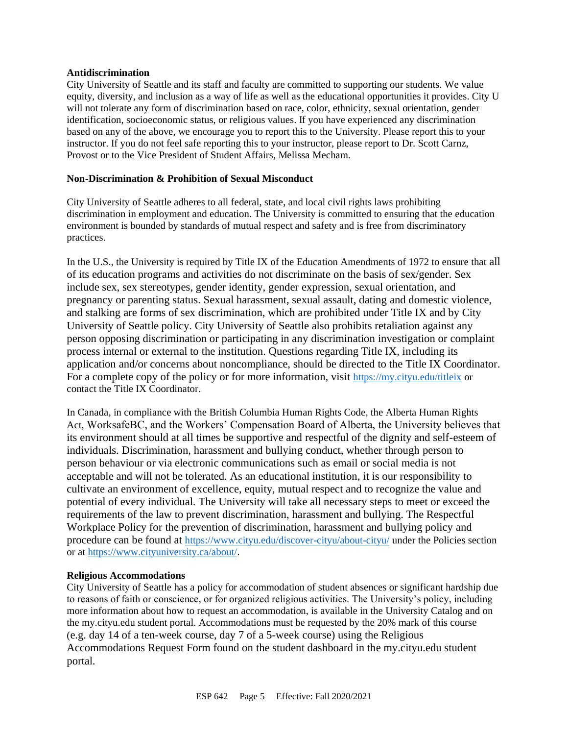#### **Antidiscrimination**

City University of Seattle and its staff and faculty are committed to supporting our students. We value equity, diversity, and inclusion as a way of life as well as the educational opportunities it provides. City U will not tolerate any form of discrimination based on race, color, ethnicity, sexual orientation, gender identification, socioeconomic status, or religious values. If you have experienced any discrimination based on any of the above, we encourage you to report this to the University. Please report this to your instructor. If you do not feel safe reporting this to your instructor, please report to Dr. Scott Carnz, Provost or to the Vice President of Student Affairs, Melissa Mecham.

#### **Non-Discrimination & Prohibition of Sexual Misconduct**

City University of Seattle adheres to all federal, state, and local civil rights laws prohibiting discrimination in employment and education. The University is committed to ensuring that the education environment is bounded by standards of mutual respect and safety and is free from discriminatory practices.

In the U.S., the University is required by Title IX of the Education Amendments of 1972 to ensure that all of its education programs and activities do not discriminate on the basis of sex/gender. Sex include sex, sex stereotypes, gender identity, gender expression, sexual orientation, and pregnancy or parenting status. Sexual harassment, sexual assault, dating and domestic violence, and stalking are forms of sex discrimination, which are prohibited under Title IX and by City University of Seattle policy. City University of Seattle also prohibits retaliation against any person opposing discrimination or participating in any discrimination investigation or complaint process internal or external to the institution. Questions regarding Title IX, including its application and/or concerns about noncompliance, should be directed to the Title IX Coordinator. For a complete copy of the policy or for more information, visit <https://my.cityu.edu/titleix> or contact the Title IX Coordinator.

In Canada, in compliance with the British Columbia Human Rights Code, the Alberta Human Rights Act, WorksafeBC, and the Workers' Compensation Board of Alberta, the University believes that its environment should at all times be supportive and respectful of the dignity and self-esteem of individuals. Discrimination, harassment and bullying conduct, whether through person to person behaviour or via electronic communications such as email or social media is not acceptable and will not be tolerated. As an educational institution, it is our responsibility to cultivate an environment of excellence, equity, mutual respect and to recognize the value and potential of every individual. The University will take all necessary steps to meet or exceed the requirements of the law to prevent discrimination, harassment and bullying. The Respectful Workplace Policy for the prevention of discrimination, harassment and bullying policy and procedure can be found at <https://www.cityu.edu/discover-cityu/about-cityu/> under the Policies section or at <https://www.cityuniversity.ca/about/>.

#### **Religious Accommodations**

City University of Seattle has a policy for accommodation of student absences or significant hardship due to reasons of faith or conscience, or for organized religious activities. The University's policy, including more information about how to request an accommodation, is available in the University Catalog and on the my.cityu.edu student portal. Accommodations must be requested by the 20% mark of this course (e.g. day 14 of a ten-week course, day 7 of a 5-week course) using the Religious Accommodations Request Form found on the student dashboard in the my.cityu.edu student portal.